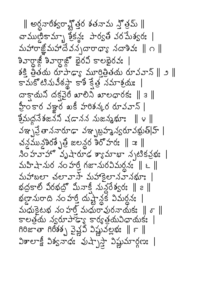$\parallel$  అర్ధవారీశ్వరావ్లోత్తర శతనామ స్త్రోమ్  $\parallel$ చాముణ్డికామ్బా శ్రీక్ష్య: పార్వతి వరమేశ్వరః | మహారాజ్ఞోమహాదేవన్నదారాధ్యా నదాశివ:  $\parallel \cap \parallel$ శివార్ధాజ్లీ శివార్ధాజ్లో భైరవీ కాలభైరవః | శక్తి త్రతయ రూపాఢ్యా మూరిత్రితయ రూవవాన్ ∥ు ∥ కామకోటినువీఠస్థా కాశీ క్షేత్ర నమాశ్రయః | దాక్షాయని దక్షవైరీ ఖాలిని ఖాలధారకః ∥౩∥ హ్రీకార వజ్జు ఖకీ హరిశన్న రూవవాన్ | న్నేమధనేశజనని చడానన నుజన్మభూః ∥౪ ∥ వఞ్ఛప్రేతాననారూఢా వఞ్ఛబ్రహ్మవ్వరూవభుత్|హ్ | చన్లమున్దిరశ్చేత్ర జలన్దర శిరోహరః || ఇ ||  $30.32333$ ో వృషారూఢ శ్యామాభా నృటికవ్రభః | మహిషానుర నంహ6ీ గజానురవిమర్ధనః ∥ ౬ ∥ మహాబలా చలావాస్ మహాకెలానవానభూః | భద్రకాల్ విరభద్రో మినాక్ నున్దేశ్వరః ∥ ౭ ∥ భణ్రామరాది నం హర్తీ దుష్ట్రాన్లకో విమర్ధనః  $\tilde{\mathcal{L}}$  మధుకెటభ నం హరీ మధురావురనాయక:  $\parallel \sigma \parallel$ కాలత్రయ న్వరూపాడ్యా కార్యత్రయవిధాయకః | గిరిజాతా గిరీశశ్చ వైళ్లవి విష్ణువల్లభః ∥౯ ∥  $3$   $300 - 200$   $300 - 200$   $300 - 200$   $300 - 200$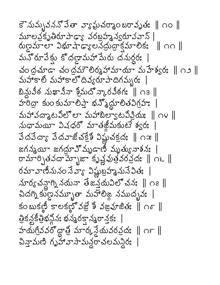కెనుమృవననోపేతా వ్యాఘవర్మాంబరావృతః || ౧౦ || మూలవకృతిరూపాడా, వరబహృన్వరూవవాన్ |  $\alpha$  ကိုးသားပြီး သည် သည် အသုံးသွေးကို အားလေး ကားကို ကား మనోరూపేక్తు కొదల్లామహామేరు దనుర్ధరః | చంద్రచూడా చంద్రమౌలిర్మహామాయా మహేశ్వరః || ౧౨ || మహాకాలి మహాకాలొదివ్యరూపాదిగమ్బరః బిన్లువీఠ నుఖానీనా శ్రీమదోన్కారవీఠగః ∥ ౧౩ ∥ హరీద్రా కుం కుమాలిప్తా భన్నోద్దూలితవిగ్రహః మహావద్మాటవిల్లా మహాబిల్యాటవిన్లియ || ౧౪ || నుధామయీ విషధరో మాతజీమకుటే శ్వర:  $3\Delta 3\sigma s$   $3\Delta x\alpha$ ోచక్రేశీ విష్ణుచక్రద:  $\parallel$  ౧౫ $\parallel$ జగన్మయీ జగద్రూఎో మృడాణీ మృత్యునాశనః రామార్చితవదామ్నాజా కృష్ణవుత్రవరవ్వు ∥ ౧౬ ∥ రమావాణినునం సేవాౄ విష్ణుబ్రహ్మనునేవితః నూర్యచన్దాగ్ని నయనా తేజన్తయవిలోచనః ∥ం౭ ∥ చిదగ్ని కుణ్ణనమ్బూతా మహాలిజ్గ నముద్భవః | కంబుకణ్ణి కాలకణ్ౖు నజ్రే వజ్రహజితః ∥ం్ ∥ త్రికన్లకీత్రిభన్లోని భన్మరక్షాన్మరాన్తక: హయగ్రీవవరోద్దాత్రి మార్కస్థేయవరవ్రదః | ౧౯ || చిన్తామణి గృహావాసామన్ధరాచలమన్దిరః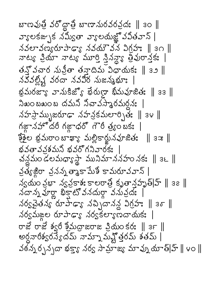బాణవుత్రి వరోద్దాత్రి బాణానురవరవ్దుః || ౩౦ || వ్యాలకజ్పక నమ్యీతా వ్యాలయజ్ఞో వవితవాన్ |  $\lambda$ వలావణ్యరూపాడా నవయౌవన విగ్రాం || 30 || నాట్య ప్రియా నాట్య మూర్తి స్తివన్యా తీవురాస్తేక: | తన్నోచార నున్రీతా తన్తాదిమ విధాయకః ॥ ౩౨ ॥ నవవల్లిష్ట వరదా నవవిర నుజన్మభూ: భ్రమరజ్యా వానుకిజ్యో ఖేరుల్గా ఖీమవూజితః ∥ ౩౩ ∥ నిఖం బఖం బ దమని నిచావస్తారమర్దన:  $\Delta$ హస్రామ్భుజరూఢా నహన్రకమలార్పితః || ఇ౪ || గజ్నహోదరీ గజ్గాధరో గౌరీ త్ర్యంబక: కేశైల భ్రమరాంబాఖ్యా మల్లికార్జునవూజితః || ౩౫ || భవతావవశమని భవరోగనివారక: చన్ధమం డలమధ్యాస్థా మునిమాననహం నకః ॥ ౩౬ ॥ క్రత్యేశ్ల క్రనన్న త్యాకామేశీ కామరూవవాన్ | న్యమం న్లభా న్యవ్లకాశః కాలరాత్రీ కృతాన్లపృత్|హ్ || ౩౭ ||  $\Delta$ దాన్న పూర్ణా భిక్షాట్లో వనుదూ వనువ్రదః | నర్వచైతన్య రూపాడ్యా నచ్చిదానన్ల విగ్రహం || ఇశా || నర్వమఙ్దల రూపాడ్యా నర్వకల్యాణదాయకః  $\sigma$ జే రాజే శ్వరీ శ్రీమద్రాజరాజ ప్రియంకర:  $\parallel$  ౩౯  $\parallel$ అర్ధనారిశ్వరస్యేదమ్ నామ్నామహ్లోత్తరమ్ శతమ్ | వఠన్నర్చన్నదా భక్తా, నర్వ సామాజ్, మావ్ను యాత్|హ్ || ౪ం ||